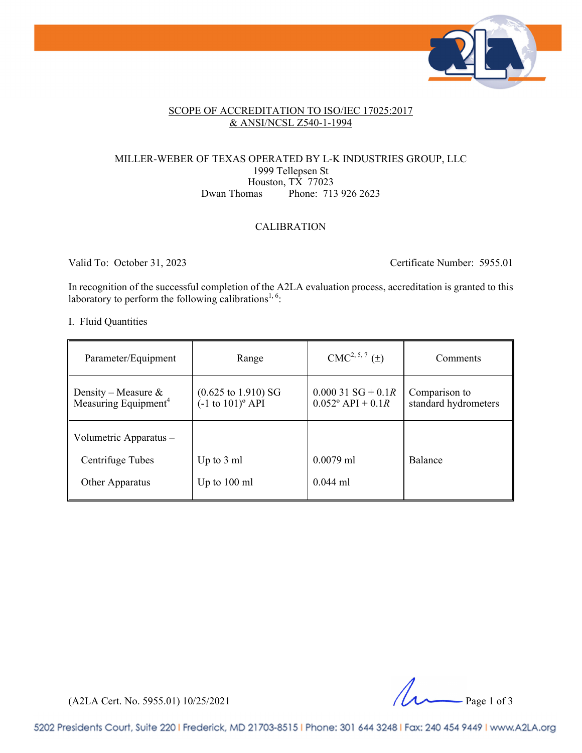

#### SCOPE OF ACCREDITATION TO ISO/IEC 17025:2017 & ANSI/NCSL Z540-1-1994

#### MILLER-WEBER OF TEXAS OPERATED BY L-K INDUSTRIES GROUP, LLC 1999 Tellepsen St Houston, TX 77023<br>Dwan Thomas Phone: 71. Phone: 713 926 2623

#### CALIBRATION

Valid To: October 31, 2023 Certificate Number: 5955.01

In recognition of the successful completion of the A2LA evaluation process, accreditation is granted to this laboratory to perform the following calibrations<sup>1, 6</sup>:

#### I. Fluid Quantities

| Parameter/Equipment                                     | Range                                                           | $CMC2, 5, 7$ ( $\pm$ )                                        | Comments                              |
|---------------------------------------------------------|-----------------------------------------------------------------|---------------------------------------------------------------|---------------------------------------|
| Density – Measure &<br>Measuring Equipment <sup>4</sup> | $(0.625 \text{ to } 1.910) \text{ SG}$<br>$(-1 to 101)^{o}$ API | $0.00031\,$ SG + 0.1 <i>R</i><br>$0.052^{\circ}$ API + $0.1R$ | Comparison to<br>standard hydrometers |
| Volumetric Apparatus -                                  |                                                                 |                                                               |                                       |
| Centrifuge Tubes                                        | Up to $3 \text{ ml}$                                            | $0.0079$ ml                                                   | <b>Balance</b>                        |
| <b>Other Apparatus</b>                                  | Up to $100 \text{ ml}$                                          | $0.044$ ml                                                    |                                       |

(A2LA Cert. No. 5955.01) 10/25/2021 Page 1 of 3

5202 Presidents Court, Suite 220 | Frederick, MD 21703-8515 | Phone: 301 644 3248 | Fax: 240 454 9449 | www.A2LA.org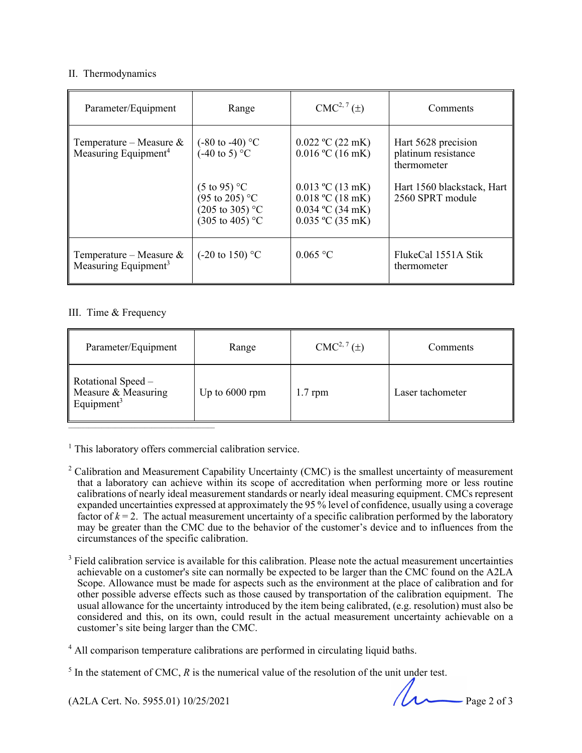#### II. Thermodynamics

| Parameter/Equipment                                            | Range                                                                                                            | $CMC2, 7(\pm)$                                                                                               | Comments                                                  |
|----------------------------------------------------------------|------------------------------------------------------------------------------------------------------------------|--------------------------------------------------------------------------------------------------------------|-----------------------------------------------------------|
| Temperature – Measure $\&$<br>Measuring Equipment <sup>4</sup> | $(-80 \text{ to } -40)$ °C<br>$(-40 \text{ to } 5)$ °C                                                           | $0.022 \text{ °C}$ (22 mK)<br>$0.016$ °C (16 mK)                                                             | Hart 5628 precision<br>platinum resistance<br>thermometer |
|                                                                | $(5 \text{ to } 95)$ °C<br>$(95 \text{ to } 205)$ °C<br>$(205 \text{ to } 305)$ °C<br>$(305 \text{ to } 405)$ °C | $0.013 \text{ °C}$ (13 mK)<br>$0.018 \text{ °C}$ (18 mK)<br>$0.034$ °C (34 mK)<br>$0.035 \text{ °C}$ (35 mK) | Hart 1560 blackstack, Hart<br>2560 SPRT module            |
| Temperature – Measure $\&$<br>Measuring Equipment <sup>3</sup> | $(-20 \text{ to } 150)$ °C                                                                                       | 0.065 °C                                                                                                     | FlukeCal 1551A Stik<br>thermometer                        |

#### III. Time & Frequency

| Parameter/Equipment                                                 | Range          | $CMC2, 7(\pm)$ | Comments         |
|---------------------------------------------------------------------|----------------|----------------|------------------|
| Rotational Speed –<br>Measure & Measuring<br>Equipment <sup>3</sup> | Up to 6000 rpm | $1.7$ rpm      | Laser tachometer |

<sup>1</sup> This laboratory offers commercial calibration service.

- <sup>2</sup> Calibration and Measurement Capability Uncertainty (CMC) is the smallest uncertainty of measurement that a laboratory can achieve within its scope of accreditation when performing more or less routine calibrations of nearly ideal measurement standards or nearly ideal measuring equipment. CMCs represent expanded uncertainties expressed at approximately the 95 % level of confidence, usually using a coverage factor of  $k = 2$ . The actual measurement uncertainty of a specific calibration performed by the laboratory may be greater than the CMC due to the behavior of the customer's device and to influences from the circumstances of the specific calibration.
- $3$  Field calibration service is available for this calibration. Please note the actual measurement uncertainties achievable on a customer's site can normally be expected to be larger than the CMC found on the A2LA Scope. Allowance must be made for aspects such as the environment at the place of calibration and for other possible adverse effects such as those caused by transportation of the calibration equipment. The usual allowance for the uncertainty introduced by the item being calibrated, (e.g. resolution) must also be considered and this, on its own, could result in the actual measurement uncertainty achievable on a customer's site being larger than the CMC.

(A2LA Cert. No. 5955.01) 10/25/2021 Page 2 of 3

<sup>&</sup>lt;sup>4</sup> All comparison temperature calibrations are performed in circulating liquid baths.

 $<sup>5</sup>$  In the statement of CMC,  *is the numerical value of the resolution of the unit under test.</sup>*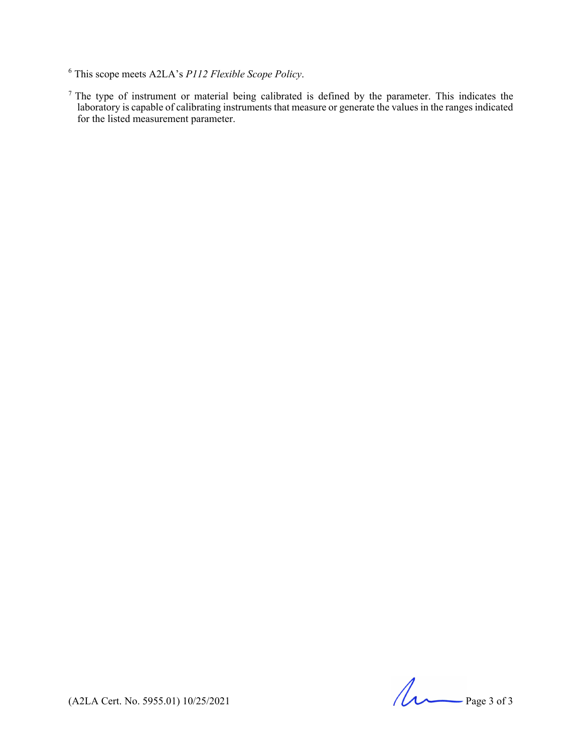$<sup>7</sup>$  The type of instrument or material being calibrated is defined by the parameter. This indicates the</sup> laboratory is capable of calibrating instruments that measure or generate the values in the ranges indicated for the listed measurement parameter.

 $(A2LA$  Cert. No. 5955.01) 10/25/2021

<sup>6</sup> This scope meets A2LA's *P112 Flexible Scope Policy*.